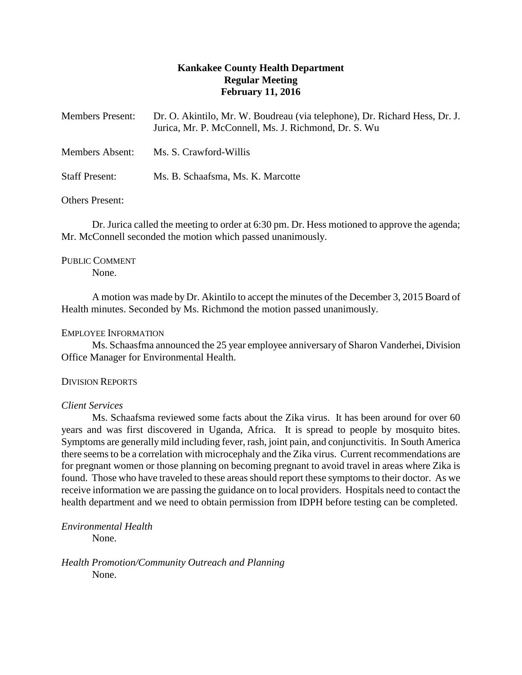# **Kankakee County Health Department Regular Meeting February 11, 2016**

| <b>Members Present:</b> | Dr. O. Akintilo, Mr. W. Boudreau (via telephone), Dr. Richard Hess, Dr. J.<br>Jurica, Mr. P. McConnell, Ms. J. Richmond, Dr. S. Wu |
|-------------------------|------------------------------------------------------------------------------------------------------------------------------------|
| <b>Members Absent:</b>  | Ms. S. Crawford-Willis                                                                                                             |
| <b>Staff Present:</b>   | Ms. B. Schaafsma, Ms. K. Marcotte                                                                                                  |

## Others Present:

Dr. Jurica called the meeting to order at 6:30 pm. Dr. Hess motioned to approve the agenda; Mr. McConnell seconded the motion which passed unanimously.

# PUBLIC COMMENT

None.

A motion was made by Dr. Akintilo to accept the minutes of the December 3, 2015 Board of Health minutes. Seconded by Ms. Richmond the motion passed unanimously.

## EMPLOYEE INFORMATION

Ms. Schaasfma announced the 25 year employee anniversary of Sharon Vanderhei, Division Office Manager for Environmental Health.

## DIVISION REPORTS

## *Client Services*

Ms. Schaafsma reviewed some facts about the Zika virus. It has been around for over 60 years and was first discovered in Uganda, Africa. It is spread to people by mosquito bites. Symptoms are generally mild including fever, rash, joint pain, and conjunctivitis. In South America there seems to be a correlation with microcephaly and the Zika virus. Current recommendations are for pregnant women or those planning on becoming pregnant to avoid travel in areas where Zika is found. Those who have traveled to these areas should report these symptoms to their doctor. As we receive information we are passing the guidance on to local providers. Hospitals need to contact the health department and we need to obtain permission from IDPH before testing can be completed.

*Environmental Health* None.

*Health Promotion/Community Outreach and Planning* None.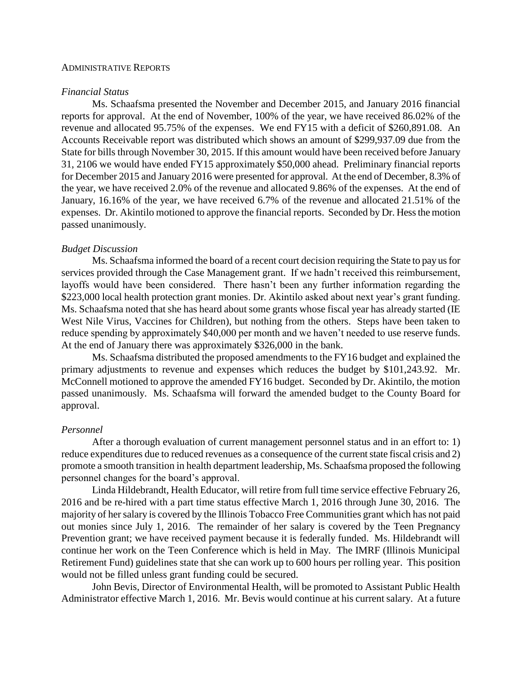### ADMINISTRATIVE REPORTS

#### *Financial Status*

Ms. Schaafsma presented the November and December 2015, and January 2016 financial reports for approval. At the end of November, 100% of the year, we have received 86.02% of the revenue and allocated 95.75% of the expenses. We end FY15 with a deficit of \$260,891.08. An Accounts Receivable report was distributed which shows an amount of \$299,937.09 due from the State for bills through November 30, 2015. If this amount would have been received before January 31, 2106 we would have ended FY15 approximately \$50,000 ahead. Preliminary financial reports for December 2015 and January 2016 were presented for approval. At the end of December, 8.3% of the year, we have received 2.0% of the revenue and allocated 9.86% of the expenses. At the end of January, 16.16% of the year, we have received 6.7% of the revenue and allocated 21.51% of the expenses. Dr. Akintilo motioned to approve the financial reports. Seconded by Dr. Hess the motion passed unanimously.

### *Budget Discussion*

Ms. Schaafsma informed the board of a recent court decision requiring the State to pay us for services provided through the Case Management grant. If we hadn't received this reimbursement, layoffs would have been considered. There hasn't been any further information regarding the \$223,000 local health protection grant monies. Dr. Akintilo asked about next year's grant funding. Ms. Schaafsma noted that she has heard about some grants whose fiscal year has already started (IE West Nile Virus, Vaccines for Children), but nothing from the others. Steps have been taken to reduce spending by approximately \$40,000 per month and we haven't needed to use reserve funds. At the end of January there was approximately \$326,000 in the bank.

Ms. Schaafsma distributed the proposed amendments to the FY16 budget and explained the primary adjustments to revenue and expenses which reduces the budget by \$101,243.92. Mr. McConnell motioned to approve the amended FY16 budget. Seconded by Dr. Akintilo, the motion passed unanimously. Ms. Schaafsma will forward the amended budget to the County Board for approval.

#### *Personnel*

After a thorough evaluation of current management personnel status and in an effort to: 1) reduce expenditures due to reduced revenues as a consequence of the current state fiscal crisis and 2) promote a smooth transition in health department leadership, Ms. Schaafsma proposed the following personnel changes for the board's approval.

Linda Hildebrandt, Health Educator, will retire from full time service effective February 26, 2016 and be re-hired with a part time status effective March 1, 2016 through June 30, 2016. The majority of her salary is covered by the Illinois Tobacco Free Communities grant which has not paid out monies since July 1, 2016. The remainder of her salary is covered by the Teen Pregnancy Prevention grant; we have received payment because it is federally funded. Ms. Hildebrandt will continue her work on the Teen Conference which is held in May. The IMRF (Illinois Municipal Retirement Fund) guidelines state that she can work up to 600 hours per rolling year. This position would not be filled unless grant funding could be secured.

John Bevis, Director of Environmental Health, will be promoted to Assistant Public Health Administrator effective March 1, 2016. Mr. Bevis would continue at his current salary. At a future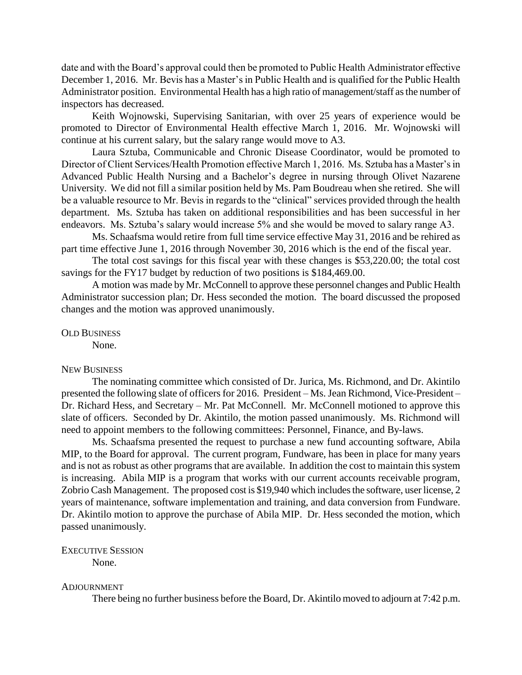date and with the Board's approval could then be promoted to Public Health Administrator effective December 1, 2016. Mr. Bevis has a Master's in Public Health and is qualified for the Public Health Administrator position. Environmental Health has a high ratio of management/staff as the number of inspectors has decreased.

Keith Wojnowski, Supervising Sanitarian, with over 25 years of experience would be promoted to Director of Environmental Health effective March 1, 2016. Mr. Wojnowski will continue at his current salary, but the salary range would move to A3.

Laura Sztuba, Communicable and Chronic Disease Coordinator, would be promoted to Director of Client Services/Health Promotion effective March 1, 2016. Ms. Sztuba has a Master's in Advanced Public Health Nursing and a Bachelor's degree in nursing through Olivet Nazarene University. We did not fill a similar position held by Ms. Pam Boudreau when she retired. She will be a valuable resource to Mr. Bevis in regards to the "clinical" services provided through the health department. Ms. Sztuba has taken on additional responsibilities and has been successful in her endeavors. Ms. Sztuba's salary would increase 5% and she would be moved to salary range A3.

Ms. Schaafsma would retire from full time service effective May 31, 2016 and be rehired as part time effective June 1, 2016 through November 30, 2016 which is the end of the fiscal year.

The total cost savings for this fiscal year with these changes is \$53,220.00; the total cost savings for the FY17 budget by reduction of two positions is \$184,469.00.

A motion was made by Mr. McConnell to approve these personnel changes and Public Health Administrator succession plan; Dr. Hess seconded the motion. The board discussed the proposed changes and the motion was approved unanimously.

OLD BUSINESS

None.

### NEW BUSINESS

The nominating committee which consisted of Dr. Jurica, Ms. Richmond, and Dr. Akintilo presented the following slate of officers for 2016. President – Ms. Jean Richmond, Vice-President – Dr. Richard Hess, and Secretary – Mr. Pat McConnell. Mr. McConnell motioned to approve this slate of officers. Seconded by Dr. Akintilo, the motion passed unanimously. Ms. Richmond will need to appoint members to the following committees: Personnel, Finance, and By-laws.

Ms. Schaafsma presented the request to purchase a new fund accounting software, Abila MIP, to the Board for approval. The current program, Fundware, has been in place for many years and is not as robust as other programs that are available. In addition the cost to maintain this system is increasing. Abila MIP is a program that works with our current accounts receivable program, Zobrio Cash Management. The proposed cost is \$19,940 which includes the software, user license, 2 years of maintenance, software implementation and training, and data conversion from Fundware. Dr. Akintilo motion to approve the purchase of Abila MIP. Dr. Hess seconded the motion, which passed unanimously.

# EXECUTIVE SESSION

None.

#### ADJOURNMENT

There being no further business before the Board, Dr. Akintilo moved to adjourn at 7:42 p.m.